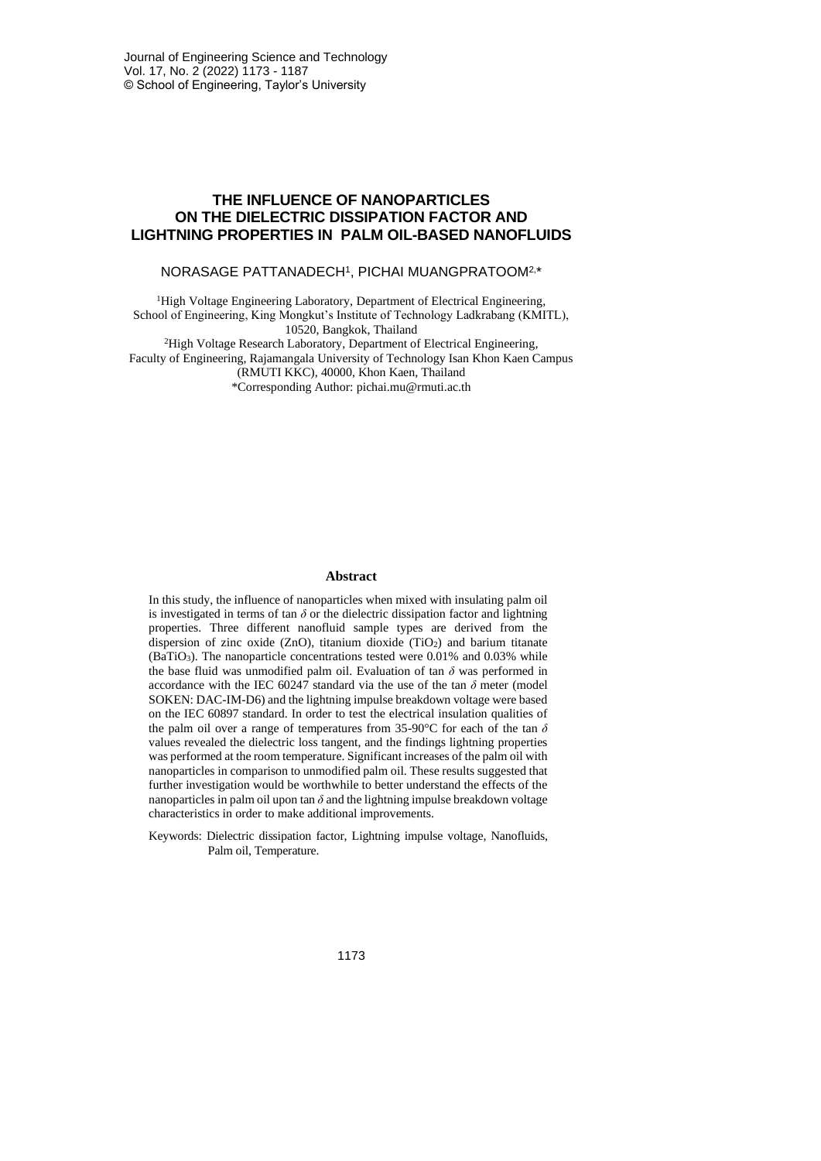# **THE INFLUENCE OF NANOPARTICLES ON THE DIELECTRIC DISSIPATION FACTOR AND LIGHTNING PROPERTIES IN PALM OIL-BASED NANOFLUIDS**

#### NORASAGE PATTANADECH<sup>1</sup> , PICHAI MUANGPRATOOM2, \*

<sup>1</sup>High Voltage Engineering Laboratory, Department of Electrical Engineering, School of Engineering, King Mongkut's Institute of Technology Ladkrabang (KMITL), 10520, Bangkok, Thailand

<sup>2</sup>High Voltage Research Laboratory, Department of Electrical Engineering, Faculty of Engineering, Rajamangala University of Technology Isan Khon Kaen Campus (RMUTI KKC), 40000, Khon Kaen, Thailand \*Corresponding Author: pichai.mu@rmuti.ac.th

#### **Abstract**

In this study, the influence of nanoparticles when mixed with insulating palm oil is investigated in terms of tan  $\delta$  or the dielectric dissipation factor and lightning properties. Three different nanofluid sample types are derived from the dispersion of zinc oxide (ZnO), titanium dioxide (TiO2) and barium titanate (BaTiO3). The nanoparticle concentrations tested were 0.01% and 0.03% while the base fluid was unmodified palm oil. Evaluation of tan *δ* was performed in accordance with the IEC 60247 standard via the use of the tan  $\delta$  meter (model SOKEN: DAC-IM-D6) and the lightning impulse breakdown voltage were based on the IEC 60897 standard. In order to test the electrical insulation qualities of the palm oil over a range of temperatures from 35-90°C for each of the tan *δ* values revealed the dielectric loss tangent, and the findings lightning properties was performed at the room temperature. Significant increases of the palm oil with nanoparticles in comparison to unmodified palm oil. These results suggested that further investigation would be worthwhile to better understand the effects of the nanoparticles in palm oil upon tan  $\delta$  and the lightning impulse breakdown voltage characteristics in order to make additional improvements.

Keywords: Dielectric dissipation factor, Lightning impulse voltage, Nanofluids, Palm oil, Temperature.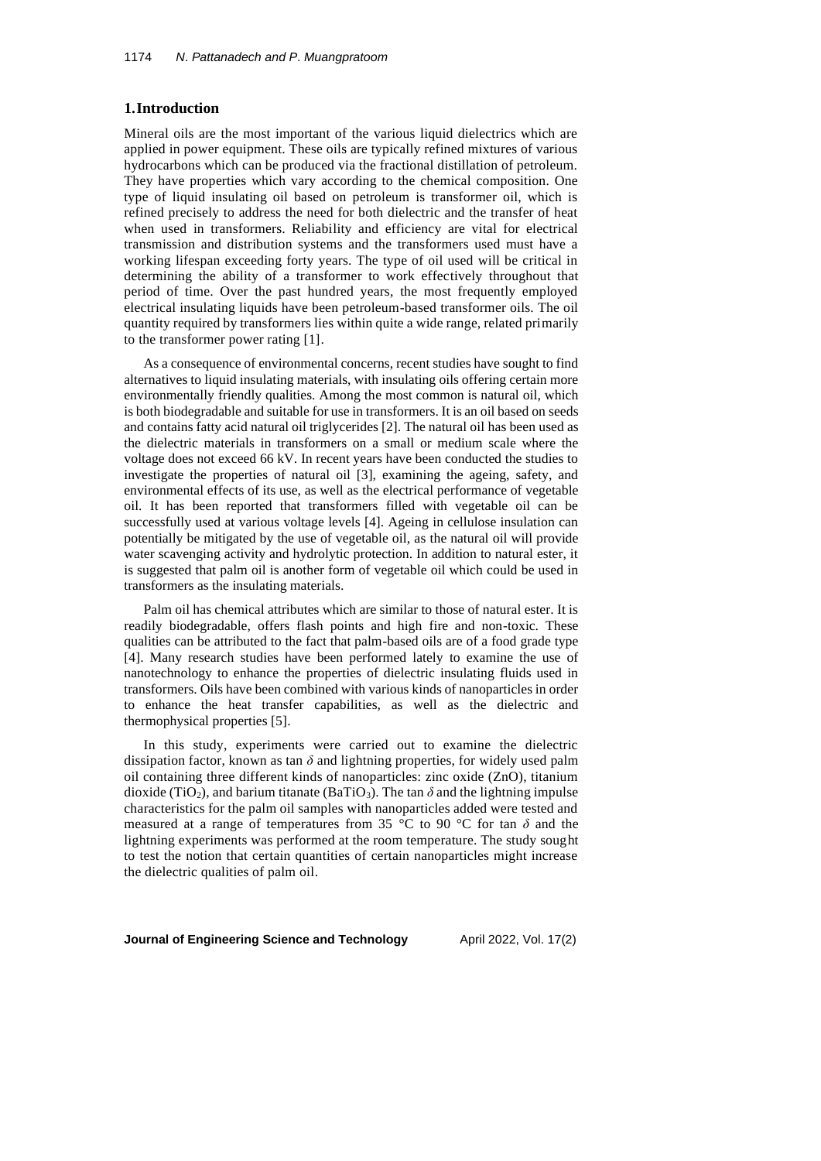### **1.Introduction**

Mineral oils are the most important of the various liquid dielectrics which are applied in power equipment. These oils are typically refined mixtures of various hydrocarbons which can be produced via the fractional distillation of petroleum. They have properties which vary according to the chemical composition. One type of liquid insulating oil based on petroleum is transformer oil, which is refined precisely to address the need for both dielectric and the transfer of heat when used in transformers. Reliability and efficiency are vital for electrical transmission and distribution systems and the transformers used must have a working lifespan exceeding forty years. The type of oil used will be critical in determining the ability of a transformer to work effectively throughout that period of time. Over the past hundred years, the most frequently employed electrical insulating liquids have been petroleum-based transformer oils. The oil quantity required by transformers lies within quite a wide range, related primarily to the transformer power rating [1].

As a consequence of environmental concerns, recent studies have sought to find alternatives to liquid insulating materials, with insulating oils offering certain more environmentally friendly qualities. Among the most common is natural oil, which is both biodegradable and suitable for use in transformers. It is an oil based on seeds and contains fatty acid natural oil triglycerides [2]. The natural oil has been used as the dielectric materials in transformers on a small or medium scale where the voltage does not exceed 66 kV. In recent years have been conducted the studies to investigate the properties of natural oil [3], examining the ageing, safety, and environmental effects of its use, as well as the electrical performance of vegetable oil. It has been reported that transformers filled with vegetable oil can be successfully used at various voltage levels [4]. Ageing in cellulose insulation can potentially be mitigated by the use of vegetable oil, as the natural oil will provide water scavenging activity and hydrolytic protection. In addition to natural ester, it is suggested that palm oil is another form of vegetable oil which could be used in transformers as the insulating materials.

Palm oil has chemical attributes which are similar to those of natural ester. It is readily biodegradable, offers flash points and high fire and non-toxic. These qualities can be attributed to the fact that palm-based oils are of a food grade type [4]. Many research studies have been performed lately to examine the use of nanotechnology to enhance the properties of dielectric insulating fluids used in transformers. Oils have been combined with various kinds of nanoparticles in order to enhance the heat transfer capabilities, as well as the dielectric and thermophysical properties [5].

In this study, experiments were carried out to examine the dielectric dissipation factor, known as tan  $\delta$  and lightning properties, for widely used palm oil containing three different kinds of nanoparticles: zinc oxide (ZnO), titanium dioxide (TiO<sub>2</sub>), and barium titanate (BaTiO<sub>3</sub>). The tan  $\delta$  and the lightning impulse characteristics for the palm oil samples with nanoparticles added were tested and measured at a range of temperatures from 35 °C to 90 °C for tan  $\delta$  and the lightning experiments was performed at the room temperature. The study sought to test the notion that certain quantities of certain nanoparticles might increase the dielectric qualities of palm oil.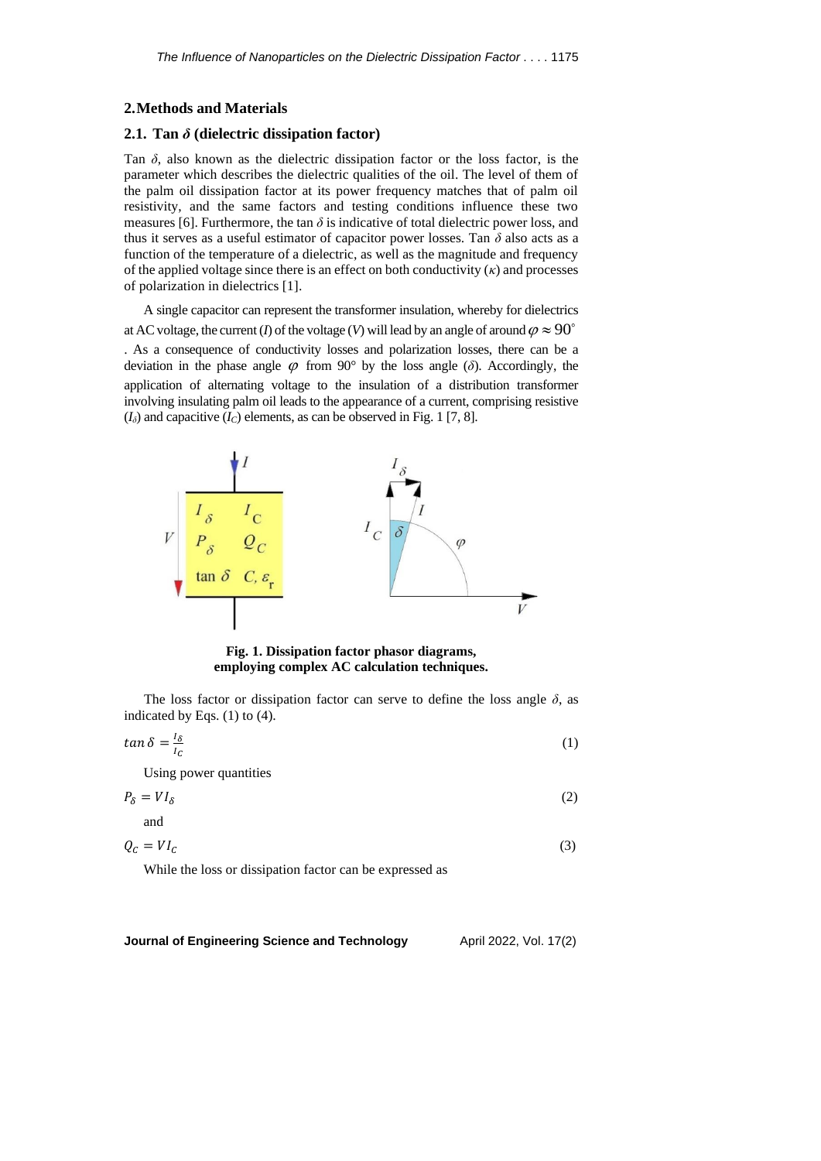#### **2.Methods and Materials**

# **2.1. Tan** *δ* **(dielectric dissipation factor)**

Tan  $\delta$ , also known as the dielectric dissipation factor or the loss factor, is the parameter which describes the dielectric qualities of the oil. The level of them of the palm oil dissipation factor at its power frequency matches that of palm oil resistivity, and the same factors and testing conditions influence these two measures [6]. Furthermore, the tan  $\delta$  is indicative of total dielectric power loss, and thus it serves as a useful estimator of capacitor power losses. Tan *δ* also acts as a function of the temperature of a dielectric, as well as the magnitude and frequency of the applied voltage since there is an effect on both conductivity  $(\kappa)$  and processes of polarization in dielectrics [1].

A single capacitor can represent the transformer insulation, whereby for dielectrics at AC voltage, the current (*I*) of the voltage (*V*) will lead by an angle of around  $\varphi \approx 90$ 

. As a consequence of conductivity losses and polarization losses, there can be a deviation in the phase angle  $\varphi$  from 90° by the loss angle ( $\delta$ ). Accordingly, the application of alternating voltage to the insulation of a distribution transformer involving insulating palm oil leads to the appearance of a current, comprising resistive  $(I_{\delta})$  and capacitive  $(I_C)$  elements, as can be observed in Fig. 1 [7, 8].



**Fig. 1. Dissipation factor phasor diagrams, employing complex AC calculation techniques.**

The loss factor or dissipation factor can serve to define the loss angle  $\delta$ , as indicated by Eqs. (1) to (4).

$$
\tan \delta = \frac{I_{\delta}}{I_{C}} \tag{1}
$$

Using power quantities

and

$$
P_{\delta} = VI_{\delta} \tag{2}
$$

$$
Q_C = VI_C \tag{3}
$$

While the loss or dissipation factor can be expressed as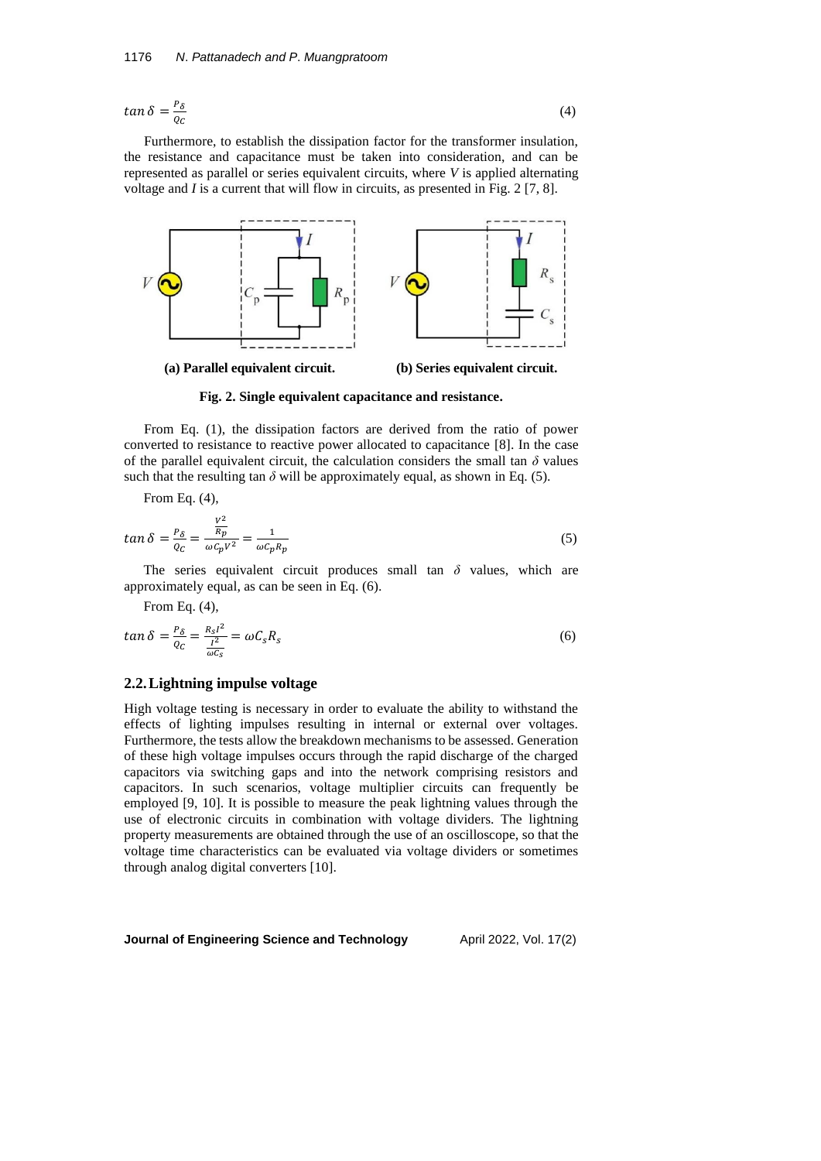$$
\tan \delta = \frac{P_{\delta}}{Q_C} \tag{4}
$$

Furthermore, to establish the dissipation factor for the transformer insulation, the resistance and capacitance must be taken into consideration, and can be represented as parallel or series equivalent circuits, where *V* is applied alternating voltage and *I* is a current that will flow in circuits, as presented in Fig. 2 [7, 8].



**Fig. 2. Single equivalent capacitance and resistance.**

From Eq. (1), the dissipation factors are derived from the ratio of power converted to resistance to reactive power allocated to capacitance [8]. In the case of the parallel equivalent circuit, the calculation considers the small tan  $\delta$  values such that the resulting tan  $\delta$  will be approximately equal, as shown in Eq. (5).

From Eq. (4),

$$
\tan \delta = \frac{P_{\delta}}{Q_C} = \frac{\frac{V^2}{R_p}}{\omega c_p V^2} = \frac{1}{\omega c_p R_p} \tag{5}
$$

The series equivalent circuit produces small tan  $\delta$  values, which are approximately equal, as can be seen in Eq. (6).

From Eq. (4),

$$
\tan \delta = \frac{P_{\delta}}{Q_C} = \frac{R_S l^2}{\frac{l^2}{\omega C_S}} = \omega C_S R_S \tag{6}
$$

#### **2.2.Lightning impulse voltage**

High voltage testing is necessary in order to evaluate the ability to withstand the effects of lighting impulses resulting in internal or external over voltages. Furthermore, the tests allow the breakdown mechanisms to be assessed. Generation of these high voltage impulses occurs through the rapid discharge of the charged capacitors via switching gaps and into the network comprising resistors and capacitors. In such scenarios, voltage multiplier circuits can frequently be employed [9, 10]. It is possible to measure the peak lightning values through the use of electronic circuits in combination with voltage dividers. The lightning property measurements are obtained through the use of an oscilloscope, so that the voltage time characteristics can be evaluated via voltage dividers or sometimes through analog digital converters [10].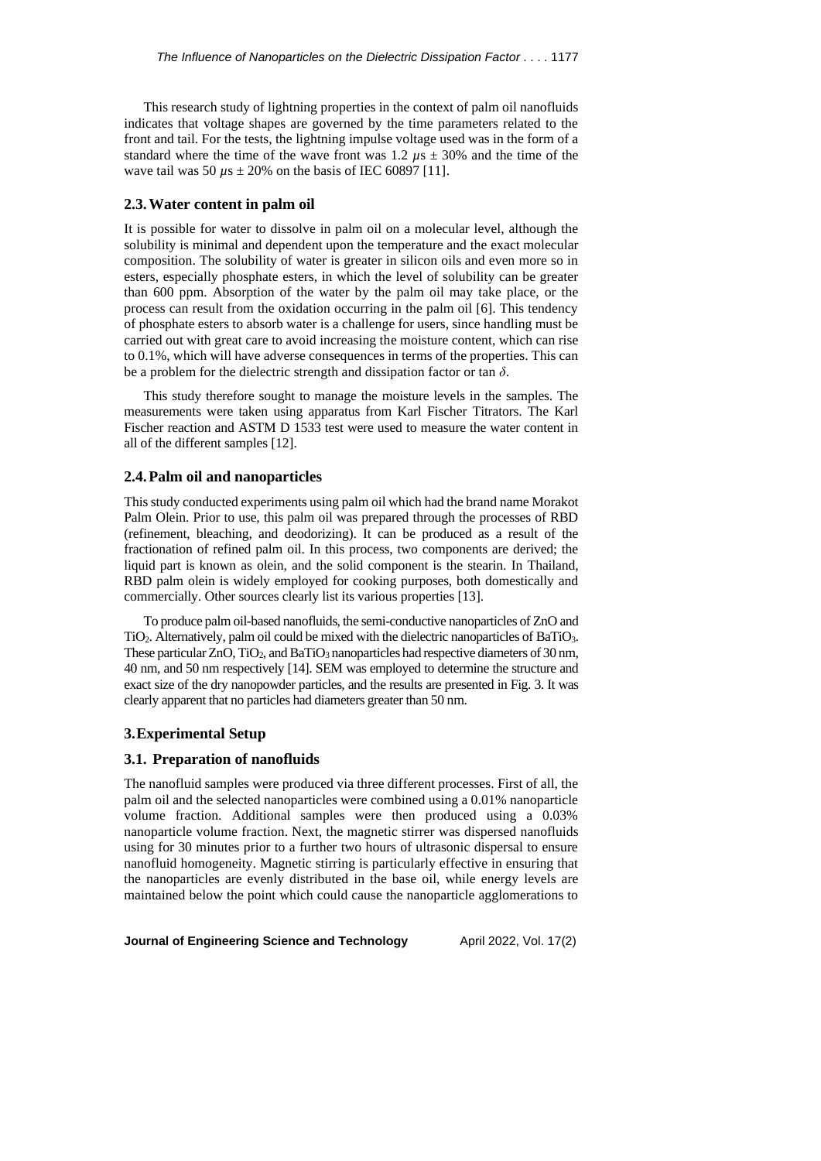This research study of lightning properties in the context of palm oil nanofluids indicates that voltage shapes are governed by the time parameters related to the front and tail. For the tests, the lightning impulse voltage used was in the form of a standard where the time of the wave front was  $1.2 \mu s \pm 30\%$  and the time of the wave tail was 50  $\mu$ s  $\pm$  20% on the basis of IEC 60897 [11].

### **2.3.Water content in palm oil**

It is possible for water to dissolve in palm oil on a molecular level, although the solubility is minimal and dependent upon the temperature and the exact molecular composition. The solubility of water is greater in silicon oils and even more so in esters, especially phosphate esters, in which the level of solubility can be greater than 600 ppm. Absorption of the water by the palm oil may take place, or the process can result from the oxidation occurring in the palm oil [6]. This tendency of phosphate esters to absorb water is a challenge for users, since handling must be carried out with great care to avoid increasing the moisture content, which can rise to 0.1%, which will have adverse consequences in terms of the properties. This can be a problem for the dielectric strength and dissipation factor or tan *δ*.

This study therefore sought to manage the moisture levels in the samples. The measurements were taken using apparatus from Karl Fischer Titrators. The Karl Fischer reaction and ASTM D 1533 test were used to measure the water content in all of the different samples [12].

### **2.4.Palm oil and nanoparticles**

This study conducted experiments using palm oil which had the brand name Morakot Palm Olein. Prior to use, this palm oil was prepared through the processes of RBD (refinement, bleaching, and deodorizing). It can be produced as a result of the fractionation of refined palm oil. In this process, two components are derived; the liquid part is known as olein, and the solid component is the stearin. In Thailand, RBD palm olein is widely employed for cooking purposes, both domestically and commercially. Other sources clearly list its various properties [13].

To produce palm oil-based nanofluids, the semi-conductive nanoparticles of ZnO and TiO2. Alternatively, palm oil could be mixed with the dielectric nanoparticles of BaTiO3. These particular ZnO, TiO<sub>2</sub>, and BaTiO<sub>3</sub> nanoparticles had respective diameters of 30 nm, 40 nm, and 50 nm respectively [14]. SEM was employed to determine the structure and exact size of the dry nanopowder particles, and the results are presented in Fig. 3. It was clearly apparent that no particles had diameters greater than 50 nm.

### **3.Experimental Setup**

### **3.1. Preparation of nanofluids**

The nanofluid samples were produced via three different processes. First of all, the palm oil and the selected nanoparticles were combined using a 0.01% nanoparticle volume fraction. Additional samples were then produced using a 0.03% nanoparticle volume fraction. Next, the magnetic stirrer was dispersed nanofluids using for 30 minutes prior to a further two hours of ultrasonic dispersal to ensure nanofluid homogeneity. Magnetic stirring is particularly effective in ensuring that the nanoparticles are evenly distributed in the base oil, while energy levels are maintained below the point which could cause the nanoparticle agglomerations to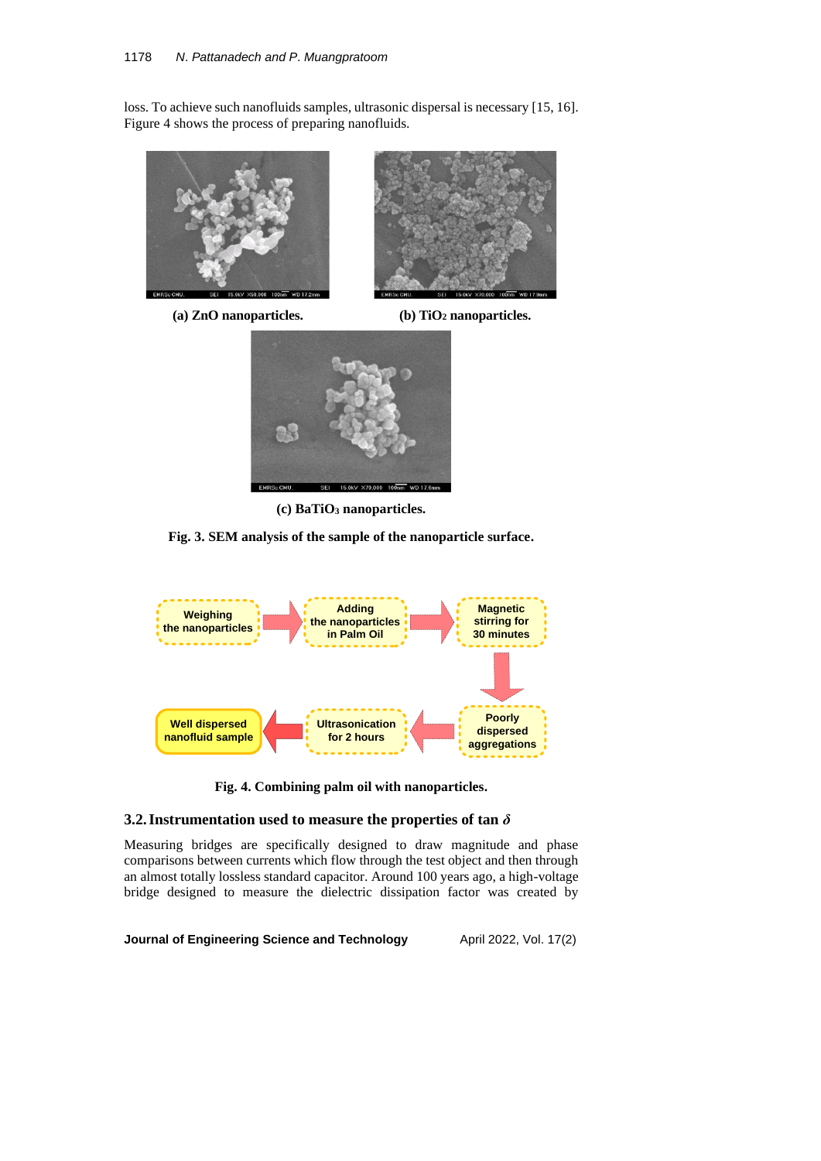loss. To achieve such nanofluids samples, ultrasonic dispersal is necessary [15, 16]. Figure 4 shows the process of preparing nanofluids.



**(a) ZnO nanoparticles. (b) TiO<sup>2</sup> nanoparticles.**





**(c) BaTiO<sup>3</sup> nanoparticles.**

**Fig. 3. SEM analysis of the sample of the nanoparticle surface.**



**Fig. 4. Combining palm oil with nanoparticles.**

# **3.2.Instrumentation used to measure the properties of tan** *δ*

Measuring bridges are specifically designed to draw magnitude and phase comparisons between currents which flow through the test object and then through an almost totally lossless standard capacitor. Around 100 years ago, a high-voltage bridge designed to measure the dielectric dissipation factor was created by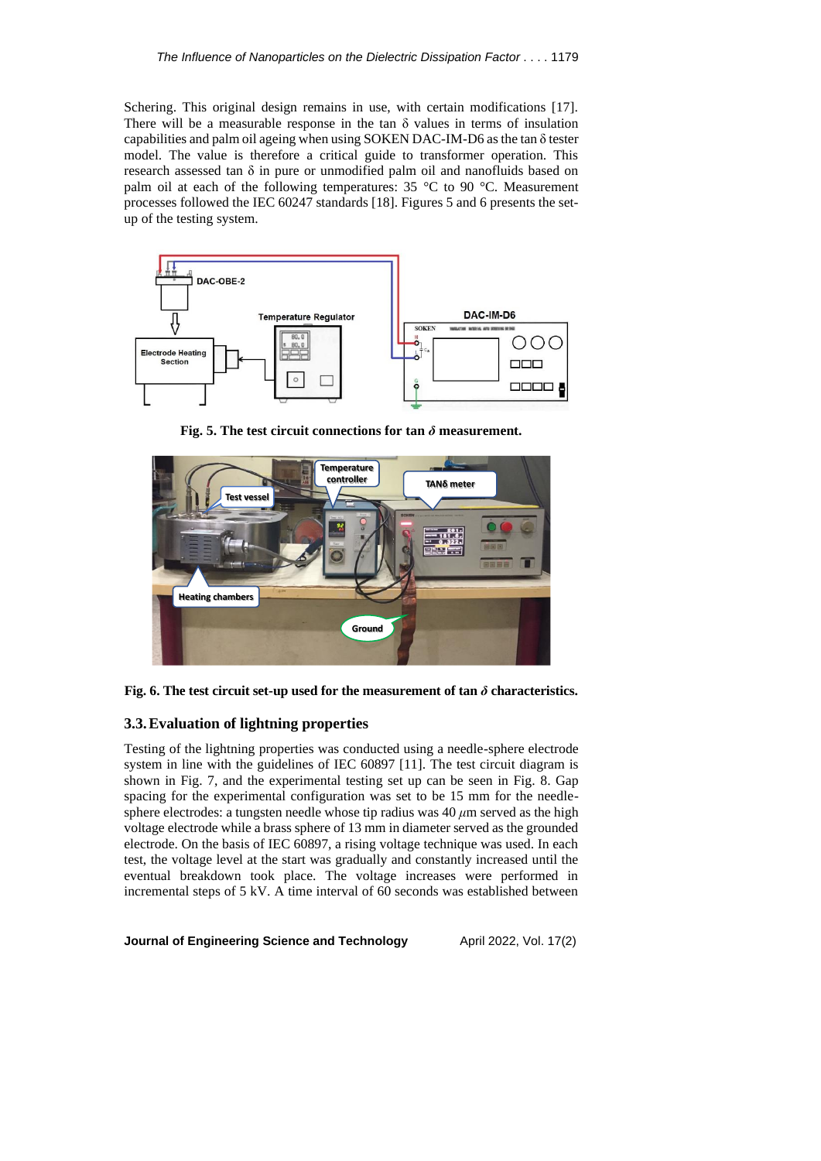Schering. This original design remains in use, with certain modifications [17]. There will be a measurable response in the tan  $\delta$  values in terms of insulation capabilities and palm oil ageing when using SOKEN DAC-IM-D6 as the tan δ tester model. The value is therefore a critical guide to transformer operation. This research assessed tan δ in pure or unmodified palm oil and nanofluids based on palm oil at each of the following temperatures: 35 °C to 90 °C. Measurement processes followed the IEC 60247 standards [18]. Figures 5 and 6 presents the setup of the testing system.



**Fig. 5. The test circuit connections for tan**  $\delta$  **measurement.** 



**Fig. 6. The test circuit set-up used for the measurement of tan**  $\delta$  **characteristics.** 

## **3.3.Evaluation of lightning properties**

Testing of the lightning properties was conducted using a needle-sphere electrode system in line with the guidelines of IEC 60897 [11]. The test circuit diagram is shown in Fig. 7, and the experimental testing set up can be seen in Fig. 8. Gap spacing for the experimental configuration was set to be 15 mm for the needlesphere electrodes: a tungsten needle whose tip radius was 40 *μ*m served as the high voltage electrode while a brass sphere of 13 mm in diameter served as the grounded electrode. On the basis of IEC 60897, a rising voltage technique was used. In each test, the voltage level at the start was gradually and constantly increased until the eventual breakdown took place. The voltage increases were performed in incremental steps of 5 kV. A time interval of 60 seconds was established between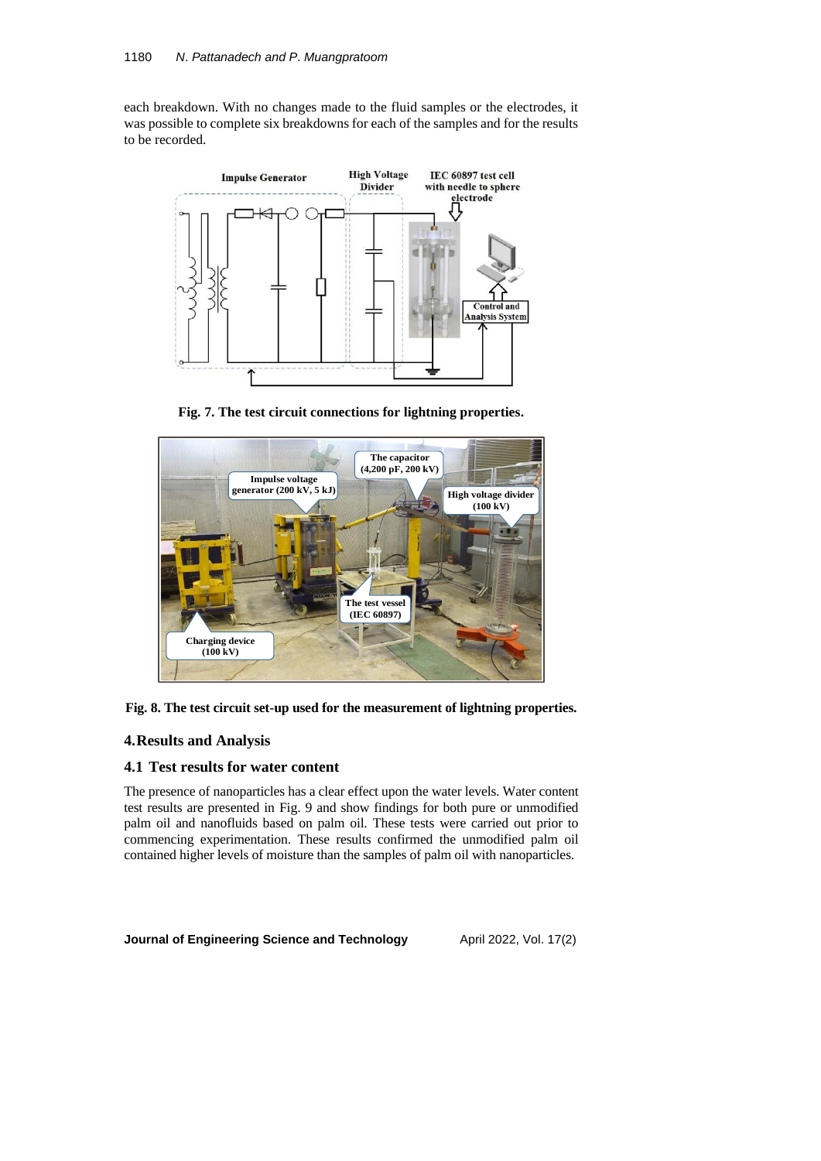each breakdown. With no changes made to the fluid samples or the electrodes, it was possible to complete six breakdowns for each of the samples and for the results to be recorded.



**Fig. 7. The test circuit connections for lightning properties.**





# **4.Results and Analysis**

# **4.1 Test results for water content**

The presence of nanoparticles has a clear effect upon the water levels. Water content test results are presented in Fig. 9 and show findings for both pure or unmodified palm oil and nanofluids based on palm oil. These tests were carried out prior to commencing experimentation. These results confirmed the unmodified palm oil contained higher levels of moisture than the samples of palm oil with nanoparticles.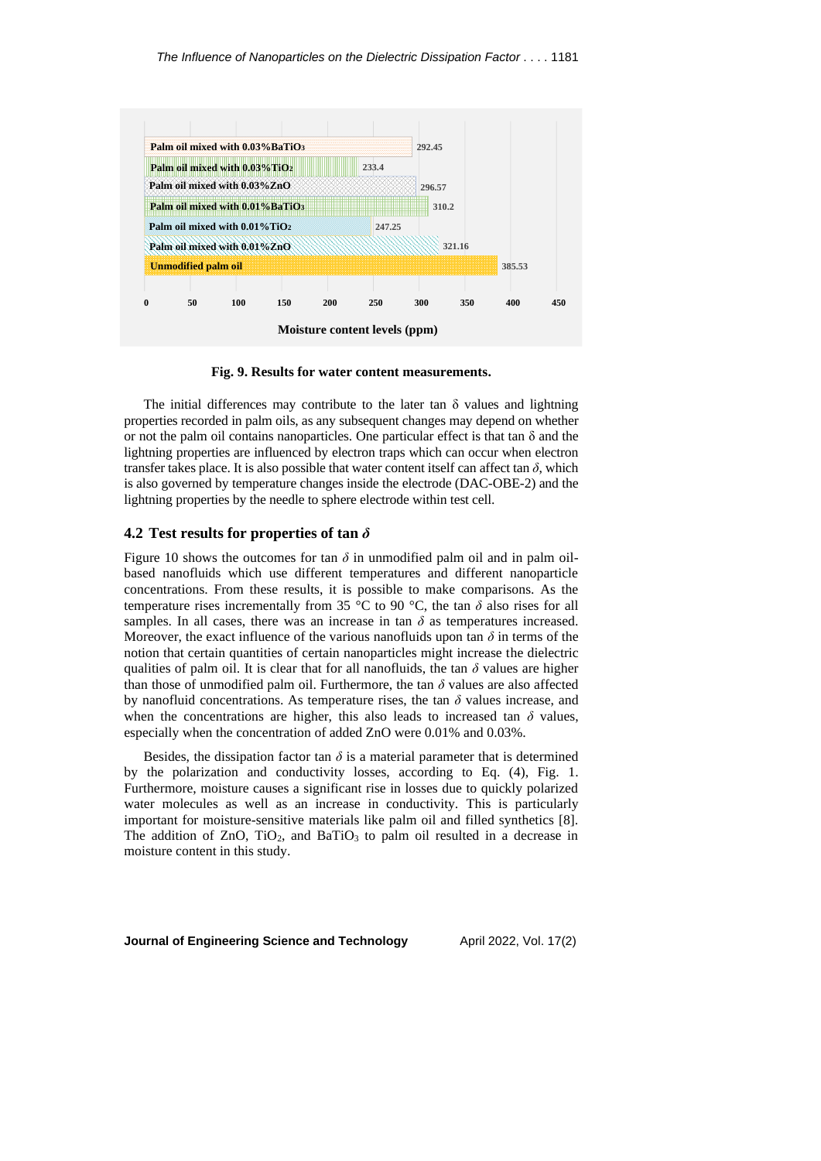

**Fig. 9. Results for water content measurements.**

The initial differences may contribute to the later tan  $\delta$  values and lightning properties recorded in palm oils, as any subsequent changes may depend on whether or not the palm oil contains nanoparticles. One particular effect is that tan  $\delta$  and the lightning properties are influenced by electron traps which can occur when electron transfer takes place. It is also possible that water content itself can affect tan  $\delta$ , which is also governed by temperature changes inside the electrode (DAC-OBE-2) and the lightning properties by the needle to sphere electrode within test cell.

#### **4.2 Test results for properties of tan** *δ*

Figure 10 shows the outcomes for tan  $\delta$  in unmodified palm oil and in palm oilbased nanofluids which use different temperatures and different nanoparticle concentrations. From these results, it is possible to make comparisons. As the temperature rises incrementally from 35 °C to 90 °C, the tan  $\delta$  also rises for all samples. In all cases, there was an increase in tan  $\delta$  as temperatures increased. Moreover, the exact influence of the various nanofluids upon tan  $\delta$  in terms of the notion that certain quantities of certain nanoparticles might increase the dielectric qualities of palm oil. It is clear that for all nanofluids, the tan  $\delta$  values are higher than those of unmodified palm oil. Furthermore, the tan *δ* values are also affected by nanofluid concentrations. As temperature rises, the tan  $\delta$  values increase, and when the concentrations are higher, this also leads to increased tan  $\delta$  values, especially when the concentration of added ZnO were 0.01% and 0.03%.

Besides, the dissipation factor tan  $\delta$  is a material parameter that is determined by the polarization and conductivity losses, according to Eq. (4), Fig. 1. Furthermore, moisture causes a significant rise in losses due to quickly polarized water molecules as well as an increase in conductivity. This is particularly important for moisture-sensitive materials like palm oil and filled synthetics [8]. The addition of  $ZnO$ ,  $TiO<sub>2</sub>$ , and  $BaTiO<sub>3</sub>$  to palm oil resulted in a decrease in moisture content in this study.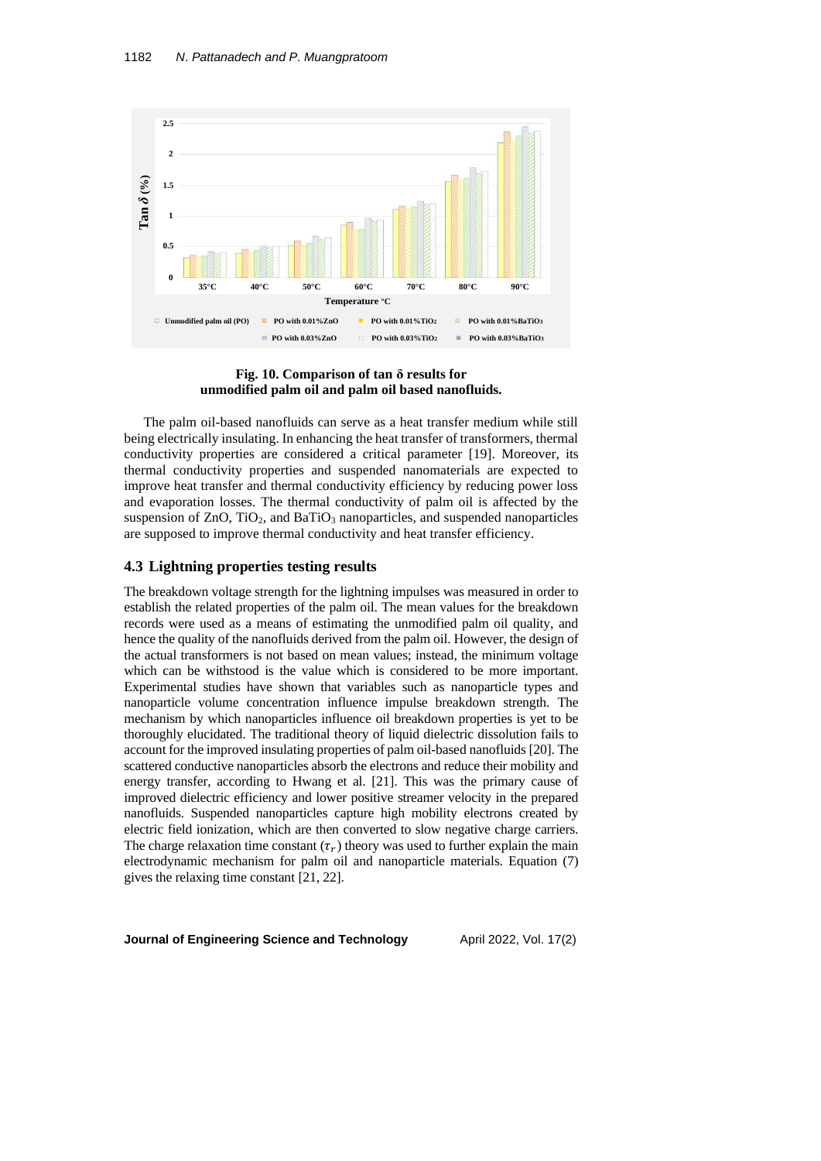



The palm oil-based nanofluids can serve as a heat transfer medium while still being electrically insulating. In enhancing the heat transfer of transformers, thermal conductivity properties are considered a critical parameter [19]. Moreover, its thermal conductivity properties and suspended nanomaterials are expected to improve heat transfer and thermal conductivity efficiency by reducing power loss and evaporation losses. The thermal conductivity of palm oil is affected by the suspension of  $ZnO$ ,  $TiO<sub>2</sub>$ , and  $BaTiO<sub>3</sub>$  nanoparticles, and suspended nanoparticles are supposed to improve thermal conductivity and heat transfer efficiency.

#### **4.3 Lightning properties testing results**

The breakdown voltage strength for the lightning impulses was measured in order to establish the related properties of the palm oil. The mean values for the breakdown records were used as a means of estimating the unmodified palm oil quality, and hence the quality of the nanofluids derived from the palm oil. However, the design of the actual transformers is not based on mean values; instead, the minimum voltage which can be withstood is the value which is considered to be more important. Experimental studies have shown that variables such as nanoparticle types and nanoparticle volume concentration influence impulse breakdown strength. The mechanism by which nanoparticles influence oil breakdown properties is yet to be thoroughly elucidated. The traditional theory of liquid dielectric dissolution fails to account for the improved insulating properties of palm oil-based nanofluids [20]. The scattered conductive nanoparticles absorb the electrons and reduce their mobility and energy transfer, according to Hwang et al. [21]. This was the primary cause of improved dielectric efficiency and lower positive streamer velocity in the prepared nanofluids. Suspended nanoparticles capture high mobility electrons created by electric field ionization, which are then converted to slow negative charge carriers. The charge relaxation time constant  $(\tau_r)$  theory was used to further explain the main electrodynamic mechanism for palm oil and nanoparticle materials. Equation (7) gives the relaxing time constant [21, 22].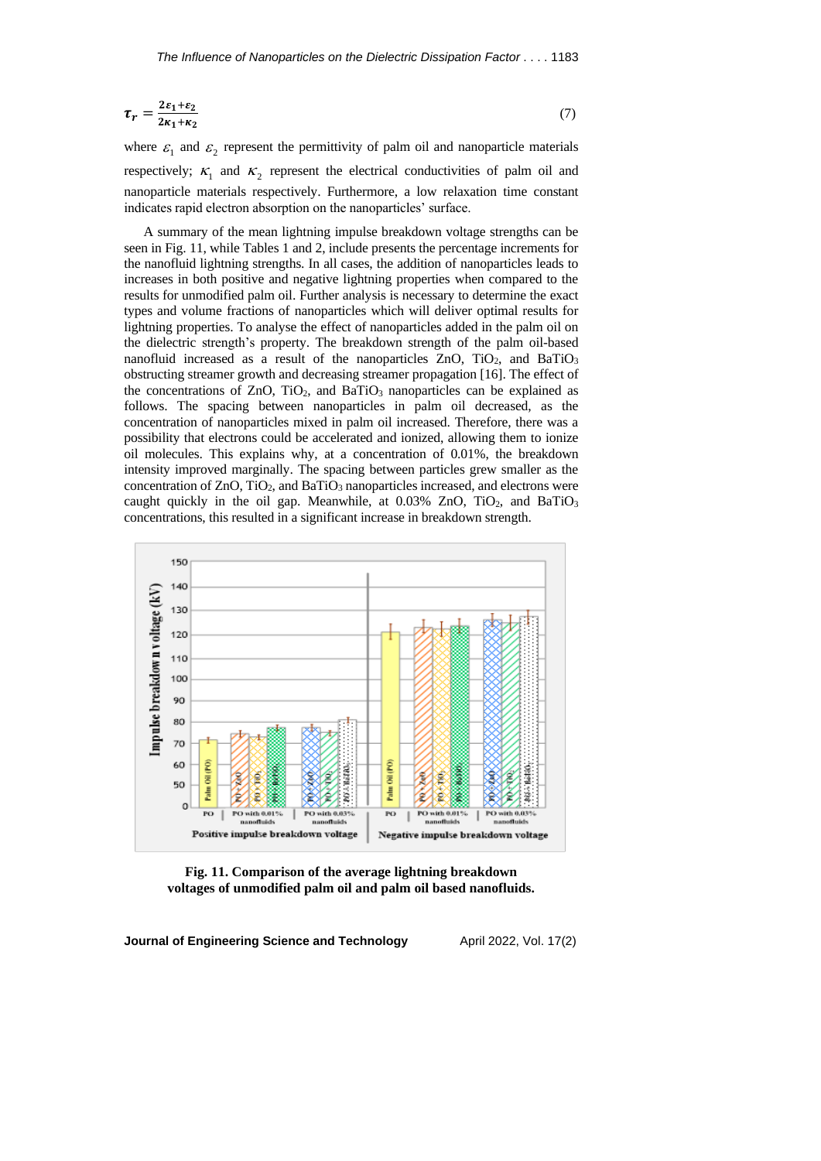$$
\tau_r = \frac{2\varepsilon_1 + \varepsilon_2}{2\kappa_1 + \kappa_2} \tag{7}
$$

where  $\varepsilon_1$  and  $\varepsilon_2$  represent the permittivity of palm oil and nanoparticle materials respectively;  $\kappa_1$  and  $\kappa_2$  represent the electrical conductivities of palm oil and nanoparticle materials respectively. Furthermore, a low relaxation time constant indicates rapid electron absorption on the nanoparticles' surface.

A summary of the mean lightning impulse breakdown voltage strengths can be seen in Fig. 11, while Tables 1 and 2, include presents the percentage increments for the nanofluid lightning strengths. In all cases, the addition of nanoparticles leads to increases in both positive and negative lightning properties when compared to the results for unmodified palm oil. Further analysis is necessary to determine the exact types and volume fractions of nanoparticles which will deliver optimal results for lightning properties. To analyse the effect of nanoparticles added in the palm oil on the dielectric strength's property. The breakdown strength of the palm oil-based nanofluid increased as a result of the nanoparticles  $ZnO$ ,  $TiO<sub>2</sub>$ , and  $BaTiO<sub>3</sub>$ obstructing streamer growth and decreasing streamer propagation [16]. The effect of the concentrations of  $ZnO$ ,  $TiO<sub>2</sub>$ , and  $BaTiO<sub>3</sub>$  nanoparticles can be explained as follows. The spacing between nanoparticles in palm oil decreased, as the concentration of nanoparticles mixed in palm oil increased. Therefore, there was a possibility that electrons could be accelerated and ionized, allowing them to ionize oil molecules. This explains why, at a concentration of 0.01%, the breakdown intensity improved marginally. The spacing between particles grew smaller as the concentration of  $ZnO$ ,  $TiO<sub>2</sub>$ , and  $BaTiO<sub>3</sub>$  nanoparticles increased, and electrons were caught quickly in the oil gap. Meanwhile, at 0.03% ZnO, TiO<sub>2</sub>, and BaTiO<sub>3</sub> concentrations, this resulted in a significant increase in breakdown strength.



**Fig. 11. Comparison of the average lightning breakdown voltages of unmodified palm oil and palm oil based nanofluids.**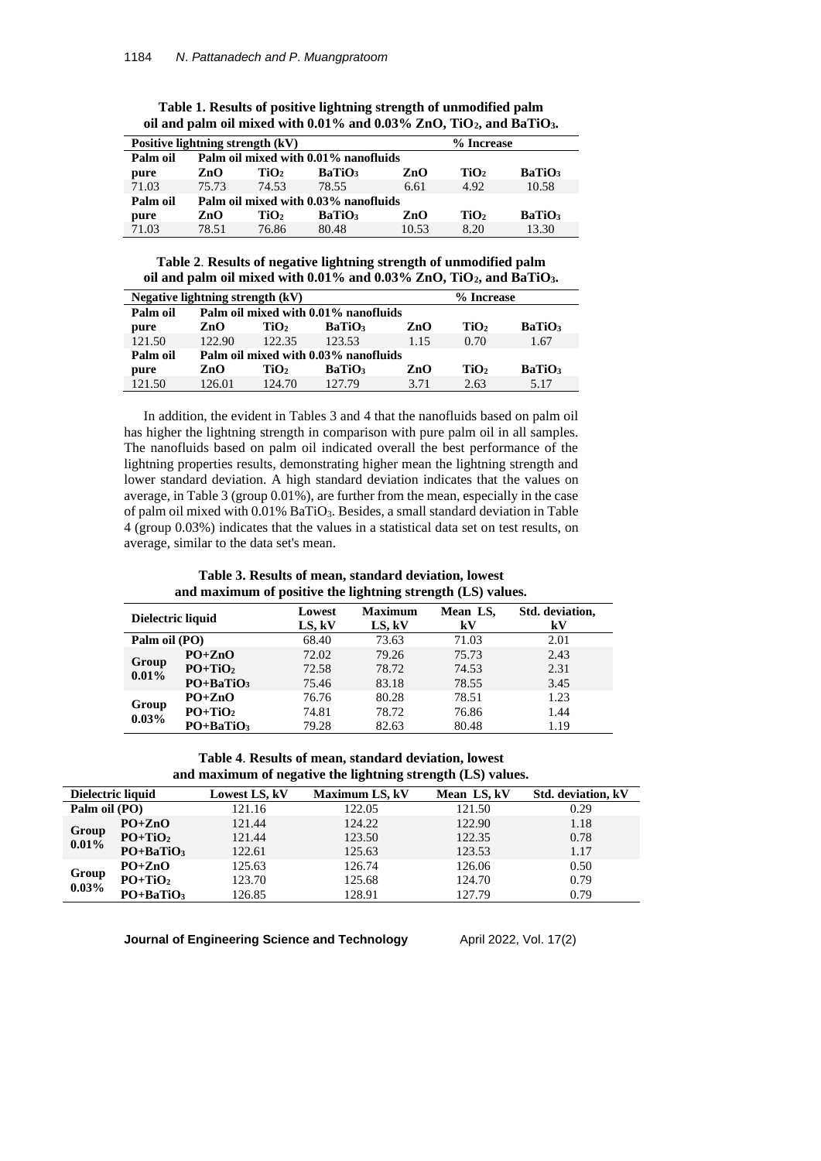| Positive lightning strength (kV) |                                      |                  |               |       | % Increase       |               |  |
|----------------------------------|--------------------------------------|------------------|---------------|-------|------------------|---------------|--|
| Palm oil                         | Palm oil mixed with 0.01% nanofluids |                  |               |       |                  |               |  |
| pure                             | ZnO                                  | TiO2             | <b>BaTiO3</b> | ZnO   | TiO <sub>2</sub> | <b>BaTiO3</b> |  |
| 71.03                            | 75.73                                | 74.53            | 78.55         | 6.61  | 4.92             | 10.58         |  |
| Palm oil                         | Palm oil mixed with 0.03% nanofluids |                  |               |       |                  |               |  |
| pure                             | ZnO                                  | TiO <sub>2</sub> | <b>BaTiO</b>  | ZnO   | TiO <sub>2</sub> | <b>BaTiO</b>  |  |
| 71.03                            | 78.51                                | 76.86            | 80.48         | 10.53 | 8.20             | 13.30         |  |

**Table 1. Results of positive lightning strength of unmodified palm oil and palm oil mixed with 0.01% and 0.03% ZnO, TiO2, and BaTiO3.**

**Table 2**. **Results of negative lightning strength of unmodified palm oil and palm oil mixed with 0.01% and 0.03% ZnO, TiO2, and BaTiO3.**

| Negative lightning strength (kV) |                                      |                  |               |      | % Increase       |               |  |
|----------------------------------|--------------------------------------|------------------|---------------|------|------------------|---------------|--|
| Palm oil                         | Palm oil mixed with 0.01% nanofluids |                  |               |      |                  |               |  |
| pure                             | ZnO                                  | TiO <sub>2</sub> | <b>BaTiO3</b> | ZnO  | TiO <sub>2</sub> | <b>BaTiO3</b> |  |
| 121.50                           | 122.90                               | 122.35           | 123.53        | 1.15 | 0.70             | 1.67          |  |
| Palm oil                         | Palm oil mixed with 0.03% nanofluids |                  |               |      |                  |               |  |
| pure                             | ZnO                                  | TiO <sub>2</sub> | <b>BaTiO</b>  | ZnO  | TiO <sub>2</sub> | <b>BaTiO3</b> |  |
| 121.50                           | 126.01                               | 124.70           | 127.79        | 3.71 | 2.63             | 5.17          |  |

In addition, the evident in Tables 3 and 4 that the nanofluids based on palm oil has higher the lightning strength in comparison with pure palm oil in all samples. The nanofluids based on palm oil indicated overall the best performance of the lightning properties results, demonstrating higher mean the lightning strength and lower standard deviation. A high standard deviation indicates that the values on average, in Table 3 (group 0.01%), are further from the mean, especially in the case of palm oil mixed with 0.01% BaTiO<sub>3</sub>. Besides, a small standard deviation in Table 4 (group 0.03%) indicates that the values in a statistical data set on test results, on average, similar to the data set's mean.

**Table 3. Results of mean, standard deviation, lowest and maximum of positive the lightning strength (LS) values.**

| Dielectric liquid |               | Lowest<br>LS, kV | <b>Maximum</b><br>LS, kV | Mean LS,<br>kV | Std. deviation,<br>kV |
|-------------------|---------------|------------------|--------------------------|----------------|-----------------------|
| Palm oil (PO)     |               | 68.40            | 73.63                    | 71.03          | 2.01                  |
| Group<br>0.01%    | $PO+ZnO$      | 72.02            | 79.26                    | 75.73          | 2.43                  |
|                   | $PO+TiO2$     | 72.58            | 78.72                    | 74.53          | 2.31                  |
|                   | $PO + BaTiO3$ | 75.46            | 83.18                    | 78.55          | 3.45                  |
|                   | $PO+ZnO$      | 76.76            | 80.28                    | 78.51          | 1.23                  |
| Group<br>0.03%    | $PO+TiO2$     | 74.81            | 78.72                    | 76.86          | 1.44                  |
|                   | $PO + BaTiO3$ | 79.28            | 82.63                    | 80.48          | 1.19                  |

**Table 4**. **Results of mean, standard deviation, lowest and maximum of negative the lightning strength (LS) values.**

| Dielectric liquid |                       | Lowest LS, kV | <b>Maximum LS, kV</b> | Mean LS, kV | Std. deviation, kV |
|-------------------|-----------------------|---------------|-----------------------|-------------|--------------------|
| Palm oil (PO)     |                       | 121.16        | 122.05                | 121.50      | 0.29               |
| Group<br>0.01%    | $PO+ZnO$              | 121.44        | 124.22                | 122.90      | 1.18               |
|                   | $PO+TiO2$             | 121.44        | 123.50                | 122.35      | 0.78               |
|                   | $PO + BaTiO3$         | 122.61        | 125.63                | 123.53      | 1.17               |
| Group<br>0.03%    | $PQ+ZnQ$              | 125.63        | 126.74                | 126.06      | 0.50               |
|                   | $PO+TiO2$             | 123.70        | 125.68                | 124.70      | 0.79               |
|                   | PO+BaTiO <sub>3</sub> | 126.85        | 128.91                | 127.79      | 0.79               |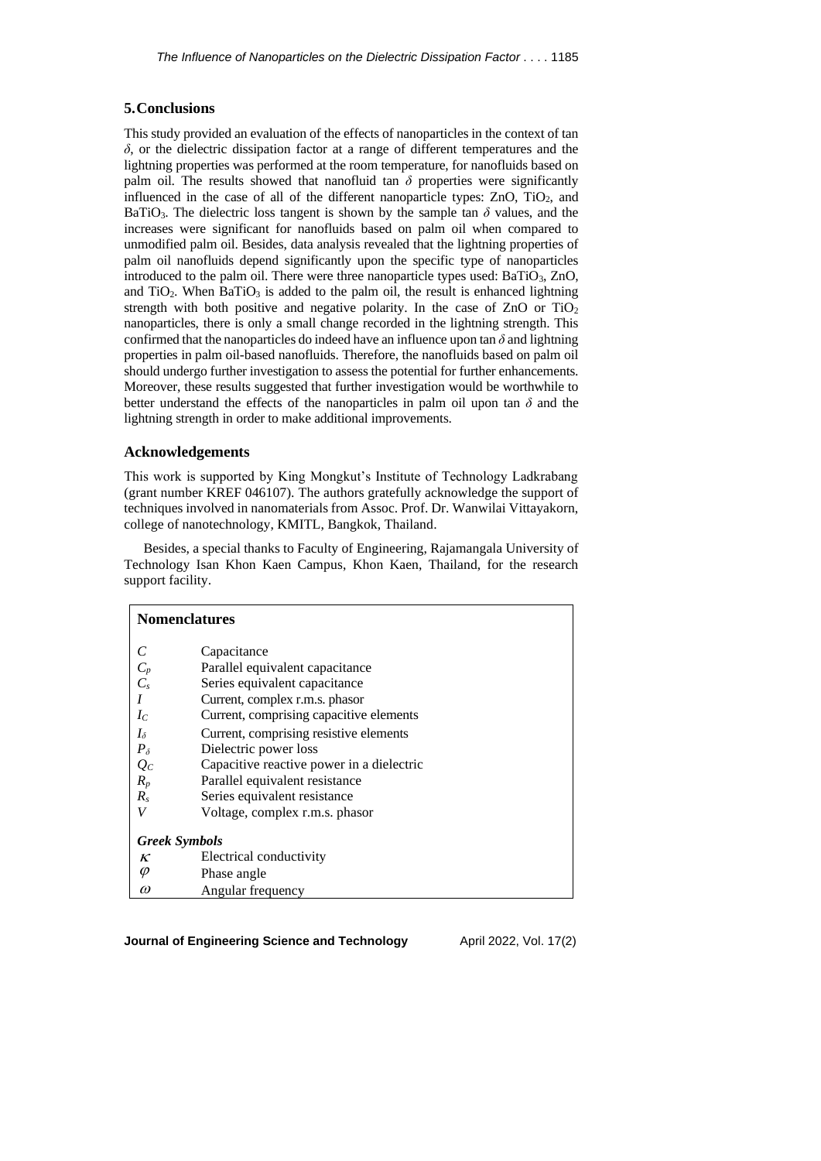# **5.Conclusions**

This study provided an evaluation of the effects of nanoparticles in the context of tan *δ*, or the dielectric dissipation factor at a range of different temperatures and the lightning properties was performed at the room temperature, for nanofluids based on palm oil. The results showed that nanofluid tan  $\delta$  properties were significantly influenced in the case of all of the different nanoparticle types:  $ZnO$ ,  $TiO<sub>2</sub>$ , and BaTiO<sub>3</sub>. The dielectric loss tangent is shown by the sample tan  $\delta$  values, and the increases were significant for nanofluids based on palm oil when compared to unmodified palm oil. Besides, data analysis revealed that the lightning properties of palm oil nanofluids depend significantly upon the specific type of nanoparticles introduced to the palm oil. There were three nanoparticle types used:  $BaTiO<sub>3</sub>$ ,  $ZnO$ , and TiO<sub>2</sub>. When BaTiO<sub>3</sub> is added to the palm oil, the result is enhanced lightning strength with both positive and negative polarity. In the case of  $ZnO$  or  $TiO<sub>2</sub>$ nanoparticles, there is only a small change recorded in the lightning strength. This confirmed that the nanoparticles do indeed have an influence upon tan  $\delta$  and lightning properties in palm oil-based nanofluids. Therefore, the nanofluids based on palm oil should undergo further investigation to assess the potential for further enhancements. Moreover, these results suggested that further investigation would be worthwhile to better understand the effects of the nanoparticles in palm oil upon tan  $\delta$  and the lightning strength in order to make additional improvements.

## **Acknowledgements**

This work is supported by King Mongkut's Institute of Technology Ladkrabang (grant number KREF 046107). The authors gratefully acknowledge the support of techniques involved in nanomaterials from Assoc. Prof. Dr. Wanwilai Vittayakorn, college of nanotechnology, KMITL, Bangkok, Thailand.

Besides, a special thanks to Faculty of Engineering, Rajamangala University of Technology Isan Khon Kaen Campus, Khon Kaen, Thailand, for the research support facility.

| <b>Nomenclatures</b> |                                           |  |  |  |
|----------------------|-------------------------------------------|--|--|--|
| C                    | Capacitance                               |  |  |  |
| $C_p$                | Parallel equivalent capacitance           |  |  |  |
| $C_s$                | Series equivalent capacitance             |  |  |  |
| I                    | Current, complex r.m.s. phasor            |  |  |  |
| $I_C$                | Current, comprising capacitive elements   |  |  |  |
| $I_{\delta}$         | Current, comprising resistive elements    |  |  |  |
| $P_{\delta}$         | Dielectric power loss                     |  |  |  |
| $Q_C$                | Capacitive reactive power in a dielectric |  |  |  |
| $R_p$                | Parallel equivalent resistance            |  |  |  |
| $R_s$                | Series equivalent resistance              |  |  |  |
| V                    | Voltage, complex r.m.s. phasor            |  |  |  |
| <b>Greek Symbols</b> |                                           |  |  |  |
| ĸ                    | Electrical conductivity                   |  |  |  |
| φ                    | Phase angle                               |  |  |  |
| $\omega$             | Angular frequency                         |  |  |  |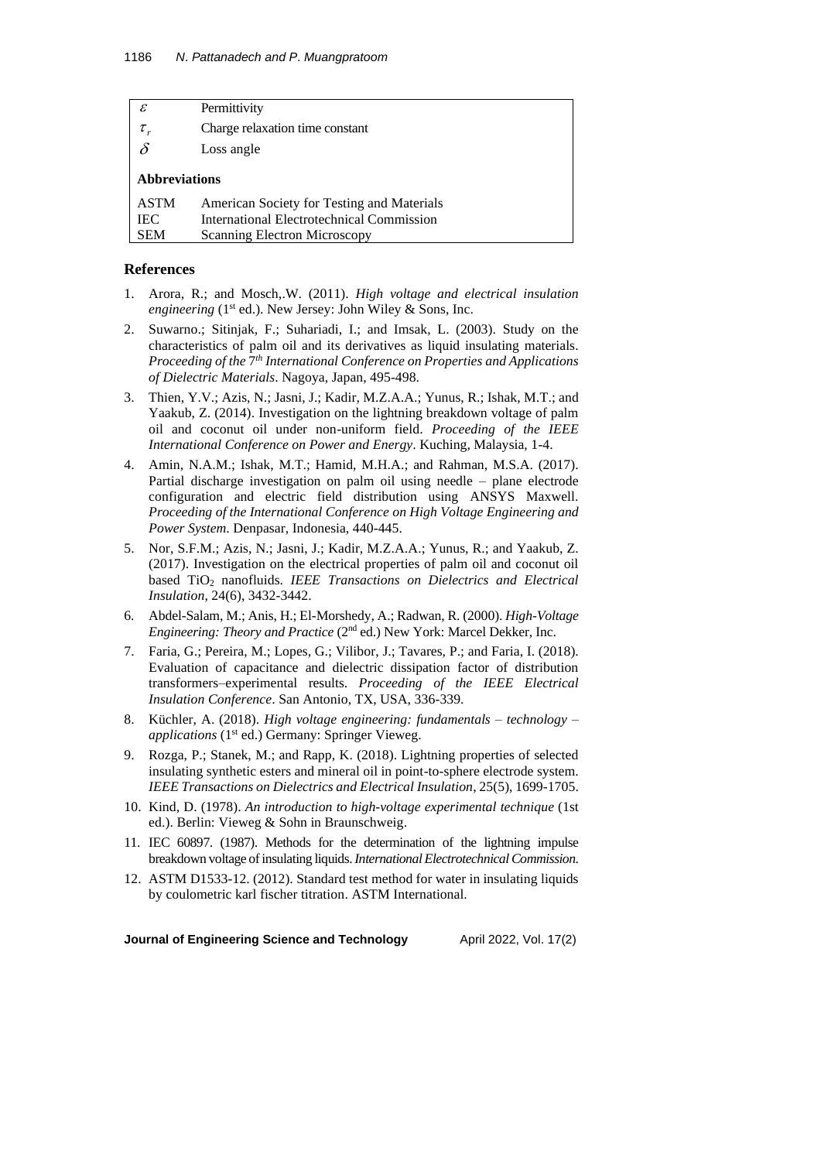| $\mathcal E$         | Permittivity                               |
|----------------------|--------------------------------------------|
|                      | Charge relaxation time constant            |
| $\delta$             | Loss angle                                 |
| <b>Abbreviations</b> |                                            |
| <b>ASTM</b>          | American Society for Testing and Materials |
| <b>IEC</b>           | International Electrotechnical Commission  |
| <b>SEM</b>           | <b>Scanning Electron Microscopy</b>        |
|                      |                                            |

### **References**

- 1. Arora, R.; and Mosch,.W. (2011). *High voltage and electrical insulation* engineering (1<sup>st</sup> ed.). New Jersey: John Wiley & Sons, Inc.
- 2. Suwarno.; Sitinjak, F.; Suhariadi, I.; and Imsak, L. (2003). Study on the characteristics of palm oil and its derivatives as liquid insulating materials. *Proceeding of the* 7 *th International Conference on Properties and Applications of Dielectric Materials*. Nagoya, Japan, 495-498.
- 3. Thien, Y.V.; Azis, N.; Jasni, J.; Kadir, M.Z.A.A.; Yunus, R.; Ishak, M.T.; and Yaakub, Z. (2014). Investigation on the lightning breakdown voltage of palm oil and coconut oil under non-uniform field. *Proceeding of the IEEE International Conference on Power and Energy*. Kuching, Malaysia, 1-4.
- 4. Amin, N.A.M.; Ishak, M.T.; Hamid, M.H.A.; and Rahman, M.S.A. (2017). Partial discharge investigation on palm oil using needle – plane electrode configuration and electric field distribution using ANSYS Maxwell. *Proceeding of the International Conference on High Voltage Engineering and Power System*. Denpasar, Indonesia, 440-445.
- 5. Nor, S.F.M.; Azis, N.; Jasni, J.; Kadir, M.Z.A.A.; Yunus, R.; and Yaakub, Z. (2017). Investigation on the electrical properties of palm oil and coconut oil based TiO<sup>2</sup> nanofluids. *IEEE Transactions on Dielectrics and Electrical Insulation*, 24(6), 3432-3442.
- 6. Abdel-Salam, M.; Anis, H.; El-Morshedy, A.; Radwan, R. (2000). *High-Voltage* Engineering: Theory and Practice (2<sup>nd</sup> ed.) New York: Marcel Dekker, Inc.
- 7. Faria, G.; Pereira, M.; Lopes, G.; Vilibor, J.; Tavares, P.; and Faria, I. (2018). Evaluation of capacitance and dielectric dissipation factor of distribution transformers–experimental results. *Proceeding of the IEEE Electrical Insulation Conference*. San Antonio, TX, USA, 336-339.
- 8. Küchler, A. (2018). *High voltage engineering: fundamentals – technology – applications* (1<sup>st</sup> ed.) Germany: Springer Vieweg.
- 9. Rozga, P.; Stanek, M.; and Rapp, K. (2018). Lightning properties of selected insulating synthetic esters and mineral oil in point-to-sphere electrode system. *IEEE Transactions on Dielectrics and Electrical Insulation*, 25(5), 1699-1705.
- 10. Kind, D. (1978). *An introduction to high-voltage experimental technique* (1st ed.). Berlin: Vieweg & Sohn in Braunschweig.
- 11. IEC 60897. (1987). Methods for the determination of the lightning impulse breakdown voltage of insulating liquids. *InternationalElectrotechnicalCommission*.
- 12. ASTM D1533-12. (2012). Standard test method for water in insulating liquids by coulometric karl fischer titration. ASTM International.